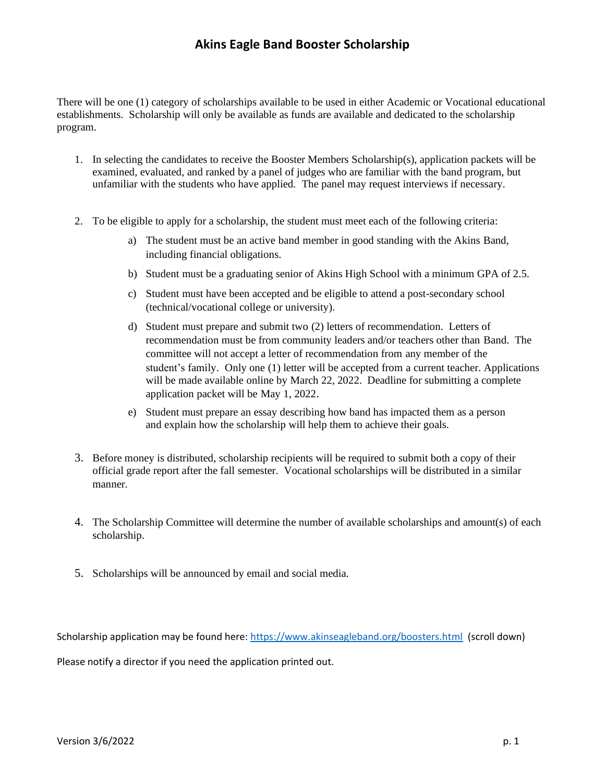There will be one (1) category of scholarships available to be used in either Academic or Vocational educational establishments. Scholarship will only be available as funds are available and dedicated to the scholarship program.

- 1. In selecting the candidates to receive the Booster Members Scholarship(s), application packets will be examined, evaluated, and ranked by a panel of judges who are familiar with the band program, but unfamiliar with the students who have applied. The panel may request interviews if necessary.
- 2. To be eligible to apply for a scholarship, the student must meet each of the following criteria:
	- a) The student must be an active band member in good standing with the Akins Band, including financial obligations.
	- b) Student must be a graduating senior of Akins High School with a minimum GPA of 2.5.
	- c) Student must have been accepted and be eligible to attend a post-secondary school (technical/vocational college or university).
	- d) Student must prepare and submit two (2) letters of recommendation. Letters of recommendation must be from community leaders and/or teachers other than Band. The committee will not accept a letter of recommendation from any member of the student's family. Only one (1) letter will be accepted from a current teacher. Applications will be made available online by March 22, 2022. Deadline for submitting a complete application packet will be May 1, 2022.
	- e) Student must prepare an essay describing how band has impacted them as a person and explain how the scholarship will help them to achieve their goals.
- 3. Before money is distributed, scholarship recipients will be required to submit both a copy of their official grade report after the fall semester. Vocational scholarships will be distributed in a similar manner.
- 4. The Scholarship Committee will determine the number of available scholarships and amount(s) of each scholarship.
- 5. Scholarships will be announced by email and social media.

Scholarship application may be found here: <https://www.akinseagleband.org/boosters.html>(scroll down)

Please notify a director if you need the application printed out.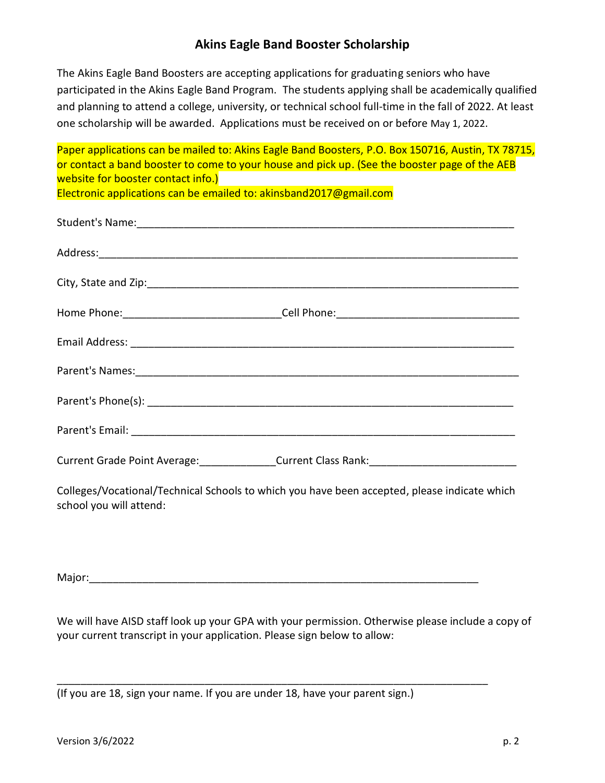The Akins Eagle Band Boosters are accepting applications for graduating seniors who have participated in the Akins Eagle Band Program. The students applying shall be academically qualified and planning to attend a college, university, or technical school full-time in the fall of 2022. At least one scholarship will be awarded. Applications must be received on or before May 1, 2022.

Paper applications can be mailed to: Akins Eagle Band Boosters, P.O. Box 150716, Austin, TX 78715, or contact a band booster to come to your house and pick up. (See the booster page of the AEB website for booster contact info.) Electronic applications can be emailed to: akinsband2017@gmail.com

Student's Name:\_\_\_\_\_\_\_\_\_\_\_\_\_\_\_\_\_\_\_\_\_\_\_\_\_\_\_\_\_\_\_\_\_\_\_\_\_\_\_\_\_\_\_\_\_\_\_\_\_\_\_\_\_\_\_\_\_\_\_\_\_\_\_\_ Address:\_\_\_\_\_\_\_\_\_\_\_\_\_\_\_\_\_\_\_\_\_\_\_\_\_\_\_\_\_\_\_\_\_\_\_\_\_\_\_\_\_\_\_\_\_\_\_\_\_\_\_\_\_\_\_\_\_\_\_\_\_\_\_\_\_\_\_\_\_\_\_ City, State and Zip:\_\_\_\_\_\_\_\_\_\_\_\_\_\_\_\_\_\_\_\_\_\_\_\_\_\_\_\_\_\_\_\_\_\_\_\_\_\_\_\_\_\_\_\_\_\_\_\_\_\_\_\_\_\_\_\_\_\_\_\_\_\_\_ Home Phone:\_\_\_\_\_\_\_\_\_\_\_\_\_\_\_\_\_\_\_\_\_\_\_\_\_\_\_Cell Phone:\_\_\_\_\_\_\_\_\_\_\_\_\_\_\_\_\_\_\_\_\_\_\_\_\_\_\_\_\_\_\_ Email Address: \_\_\_\_\_\_\_\_\_\_\_\_\_\_\_\_\_\_\_\_\_\_\_\_\_\_\_\_\_\_\_\_\_\_\_\_\_\_\_\_\_\_\_\_\_\_\_\_\_\_\_\_\_\_\_\_\_\_\_\_\_\_\_\_\_ Parent's Names:\_\_\_\_\_\_\_\_\_\_\_\_\_\_\_\_\_\_\_\_\_\_\_\_\_\_\_\_\_\_\_\_\_\_\_\_\_\_\_\_\_\_\_\_\_\_\_\_\_\_\_\_\_\_\_\_\_\_\_\_\_\_\_\_\_ Parent's Phone(s):  $\blacksquare$ Parent's Email: \_\_\_\_\_\_\_\_\_\_\_\_\_\_\_\_\_\_\_\_\_\_\_\_\_\_\_\_\_\_\_\_\_\_\_\_\_\_\_\_\_\_\_\_\_\_\_\_\_\_\_\_\_\_\_\_\_\_\_\_\_\_\_\_\_ Current Grade Point Average: entitled a Current Class Rank:

Colleges/Vocational/Technical Schools to which you have been accepted, please indicate which school you will attend:

Major:

\_\_\_\_\_\_\_\_\_\_\_\_\_\_\_\_\_\_\_\_\_\_\_\_\_\_\_\_\_\_\_\_\_\_\_\_\_\_\_\_\_\_\_\_\_\_\_\_\_\_\_\_\_\_\_\_\_\_\_\_\_\_\_\_\_\_\_\_\_\_\_\_\_

We will have AISD staff look up your GPA with your permission. Otherwise please include a copy of your current transcript in your application. Please sign below to allow:

(If you are 18, sign your name. If you are under 18, have your parent sign.)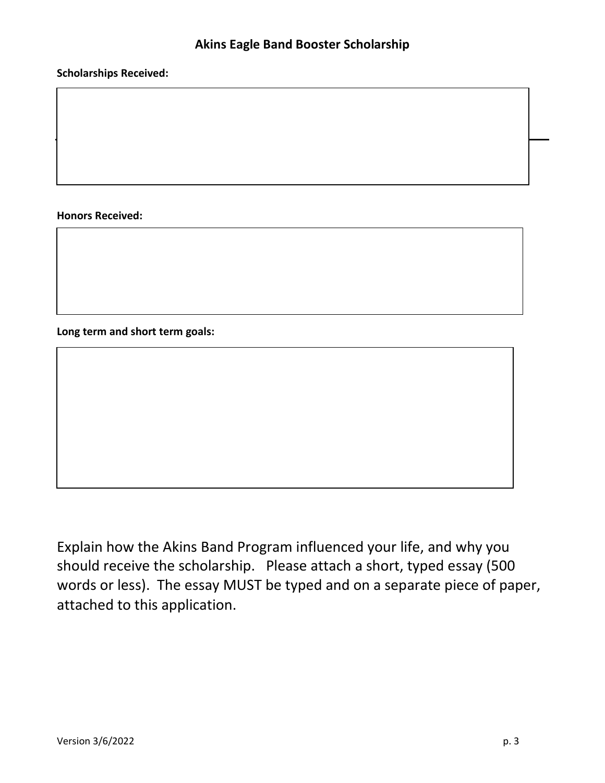#### **Scholarships Received:**

**Honors Received:**

**Long term and short term goals:**

Explain how the Akins Band Program influenced your life, and why you should receive the scholarship. Please attach a short, typed essay (500 words or less). The essay MUST be typed and on a separate piece of paper, attached to this application.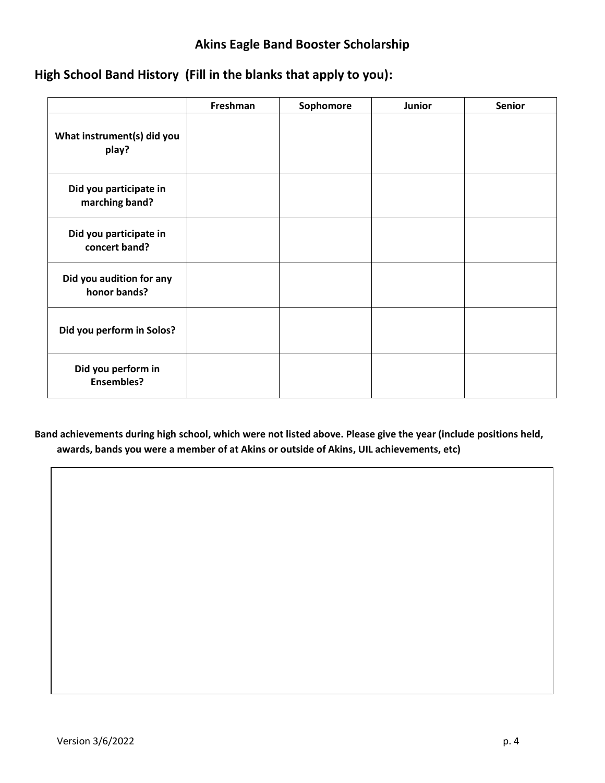# **High School Band History (Fill in the blanks that apply to you):**

|                                          | Freshman | Sophomore | Junior | Senior |
|------------------------------------------|----------|-----------|--------|--------|
| What instrument(s) did you<br>play?      |          |           |        |        |
| Did you participate in<br>marching band? |          |           |        |        |
| Did you participate in<br>concert band?  |          |           |        |        |
| Did you audition for any<br>honor bands? |          |           |        |        |
| Did you perform in Solos?                |          |           |        |        |
| Did you perform in<br><b>Ensembles?</b>  |          |           |        |        |

**Band achievements during high school, which were not listed above. Please give the year (include positions held, awards, bands you were a member of at Akins or outside of Akins, UIL achievements, etc)**